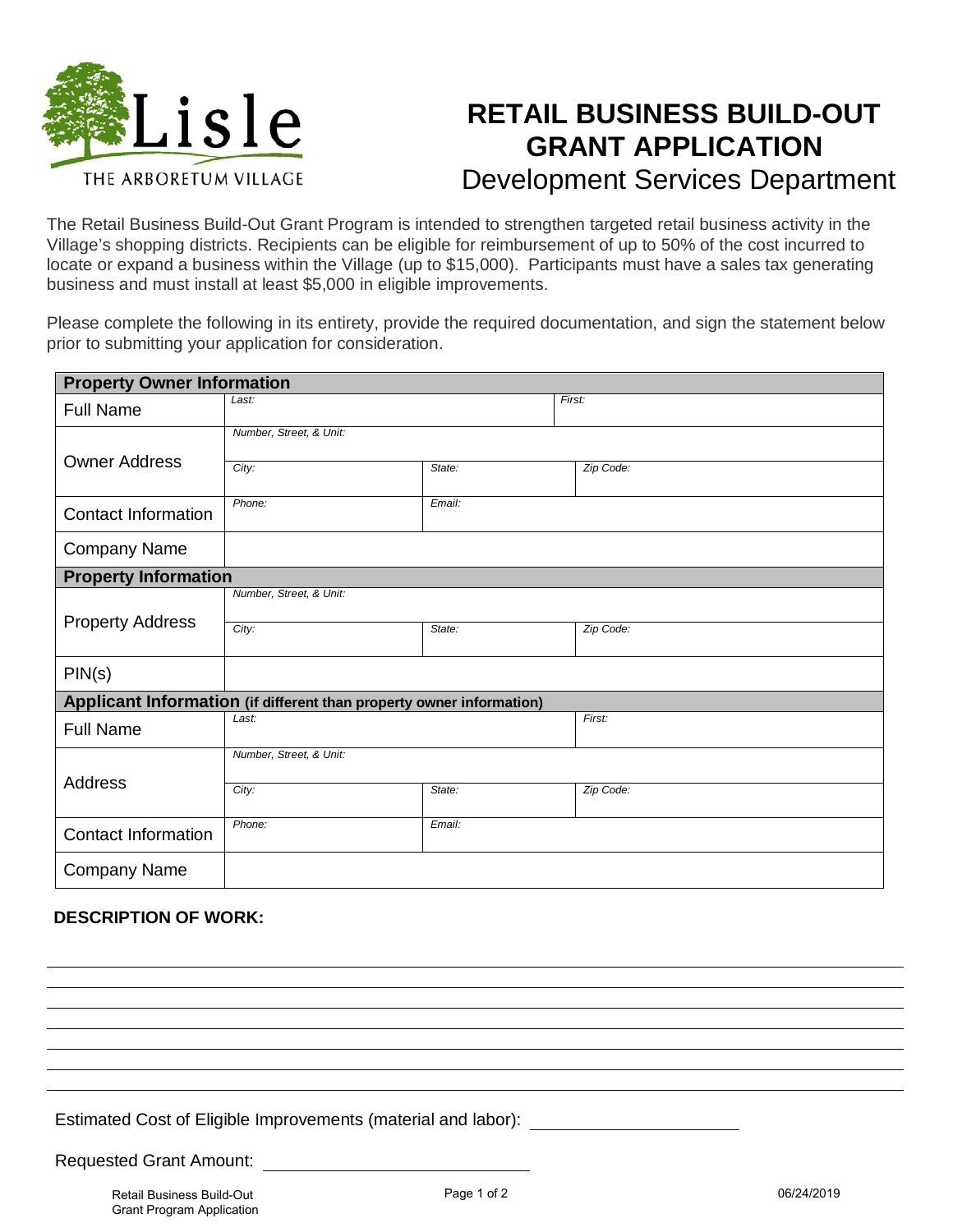

## **RETAIL BUSINESS BUILD-OUT GRANT APPLICATION** Development Services Department

The Retail Business Build-Out Grant Program is intended to strengthen targeted retail business activity in the Village's shopping districts. Recipients can be eligible for reimbursement of up to 50% of the cost incurred to locate or expand a business within the Village (up to \$15,000). Participants must have a sales tax generating business and must install at least \$5,000 in eligible improvements.

Please complete the following in its entirety, provide the required documentation, and sign the statement below prior to submitting your application for consideration.

| <b>Property Owner Information</b>                                    |                         |        |           |
|----------------------------------------------------------------------|-------------------------|--------|-----------|
| <b>Full Name</b>                                                     | Last:                   |        | First:    |
|                                                                      | Number, Street, & Unit: |        |           |
| <b>Owner Address</b>                                                 | City:                   | State: | Zip Code: |
|                                                                      |                         |        |           |
| <b>Contact Information</b>                                           | Phone:                  | Email: |           |
| <b>Company Name</b>                                                  |                         |        |           |
| <b>Property Information</b>                                          |                         |        |           |
| <b>Property Address</b>                                              | Number, Street, & Unit: |        |           |
|                                                                      | City:                   | State: | Zip Code: |
|                                                                      |                         |        |           |
| PIN(s)                                                               |                         |        |           |
| Applicant Information (if different than property owner information) |                         |        |           |
| <b>Full Name</b>                                                     | Last:                   |        | First:    |
| <b>Address</b>                                                       | Number, Street, & Unit: |        |           |
|                                                                      | City:                   | State: | Zip Code: |
| <b>Contact Information</b>                                           | Phone:<br>Email:        |        |           |
|                                                                      |                         |        |           |
| <b>Company Name</b>                                                  |                         |        |           |

## **DESCRIPTION OF WORK:**

Estimated Cost of Eligible Improvements (material and labor):

Requested Grant Amount: